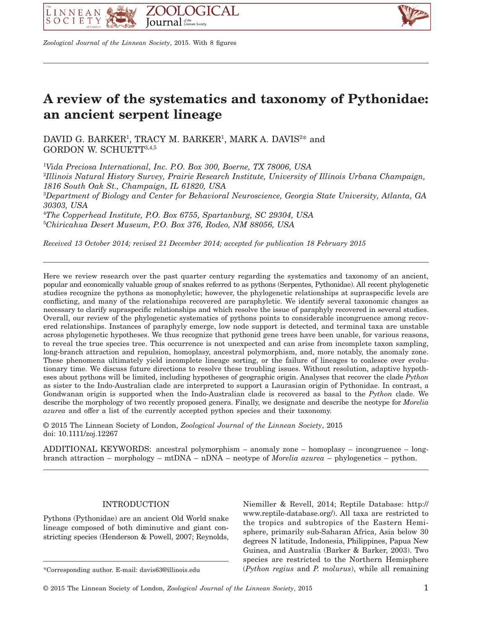



*Zoological Journal of the Linnean Society*, 2015. With 8 figures

# **A review of the systematics and taxonomy of Pythonidae: an ancient serpent lineage**

DAVID G. BARKER<sup>1</sup>, TRACY M. BARKER<sup>1</sup>, MARK A. DAVIS<sup>2\*</sup> and GORDON W. SCHUETT<sup>3,4,5</sup>

 *Vida Preciosa International, Inc. P.O. Box 300, Boerne, TX 78006, USA Illinois Natural History Survey, Prairie Research Institute, University of Illinois Urbana Champaign, 1816 South Oak St., Champaign, IL 61820, USA Department of Biology and Center for Behavioral Neuroscience, Georgia State University, Atlanta, GA 30303, USA The Copperhead Institute, P.O. Box 6755, Spartanburg, SC 29304, USA Chiricahua Desert Museum, P.O. Box 376, Rodeo, NM 88056, USA*

*Received 13 October 2014; revised 21 December 2014; accepted for publication 18 February 2015*

Here we review research over the past quarter century regarding the systematics and taxonomy of an ancient, popular and economically valuable group of snakes referred to as pythons (Serpentes, Pythonidae). All recent phylogenetic studies recognize the pythons as monophyletic; however, the phylogenetic relationships at supraspecific levels are conflicting, and many of the relationships recovered are paraphyletic. We identify several taxonomic changes as necessary to clarify supraspecific relationships and which resolve the issue of paraphyly recovered in several studies. Overall, our review of the phylogenetic systematics of pythons points to considerable incongruence among recovered relationships. Instances of paraphyly emerge, low node support is detected, and terminal taxa are unstable across phylogenetic hypotheses. We thus recognize that pythonid gene trees have been unable, for various reasons, to reveal the true species tree. This occurrence is not unexpected and can arise from incomplete taxon sampling, long-branch attraction and repulsion, homoplasy, ancestral polymorphism, and, more notably, the anomaly zone. These phenomena ultimately yield incomplete lineage sorting, or the failure of lineages to coalesce over evolutionary time. We discuss future directions to resolve these troubling issues. Without resolution, adaptive hypotheses about pythons will be limited, including hypotheses of geographic origin. Analyses that recover the clade *Python* as sister to the Indo-Australian clade are interpreted to support a Laurasian origin of Pythonidae. In contrast, a Gondwanan origin is supported when the Indo-Australian clade is recovered as basal to the *Python* clade. We describe the morphology of two recently proposed genera. Finally, we designate and describe the neotype for *Morelia azurea* and offer a list of the currently accepted python species and their taxonomy.

© 2015 The Linnean Society of London, *Zoological Journal of the Linnean Society*, 2015 doi: 10.1111/zoj.12267

ADDITIONAL KEYWORDS: ancestral polymorphism – anomaly zone – homoplasy – incongruence – longbranch attraction – morphology – mtDNA – nDNA – neotype of *Morelia azurea* – phylogenetics – python.

# INTRODUCTION

Pythons (Pythonidae) are an ancient Old World snake lineage composed of both diminutive and giant constricting species (Henderson & Powell, 2007; Reynolds,

Niemiller & Revell, 2014; Reptile Database: [http://](http://www.reptile-database.org/) [www.reptile-database.org/\)](http://www.reptile-database.org/). All taxa are restricted to the tropics and subtropics of the Eastern Hemisphere, primarily sub-Saharan Africa, Asia below 30 degrees N latitude, Indonesia, Philippines, Papua New Guinea, and Australia (Barker & Barker, 2003). Two species are restricted to the Northern Hemisphere \*Corresponding author. E-mail: [davis63@illinois.edu](mailto:davis63@illinois.edu) (*Python regius* and *P. molurus*), while all remaining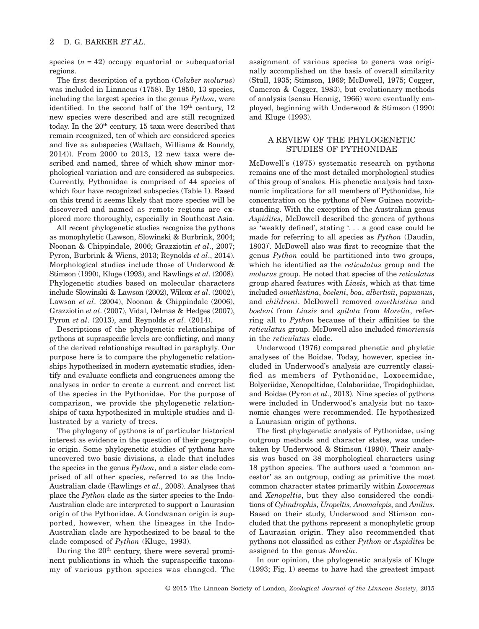species  $(n = 42)$  occupy equatorial or subequatorial regions.

The first description of a python (*Coluber molurus*) was included in Linnaeus (1758). By 1850, 13 species, including the largest species in the genus *Python*, were identified. In the second half of the  $19<sup>th</sup>$  century,  $12$ new species were described and are still recognized today. In the  $20<sup>th</sup>$  century, 15 taxa were described that remain recognized, ten of which are considered species and five as subspecies (Wallach, Williams & Boundy, 2014)). From 2000 to 2013, 12 new taxa were described and named, three of which show minor morphological variation and are considered as subspecies. Currently, Pythonidae is comprised of 44 species of which four have recognized subspecies (Table 1). Based on this trend it seems likely that more species will be discovered and named as remote regions are explored more thoroughly, especially in Southeast Asia.

All recent phylogenetic studies recognize the pythons as monophyletic (Lawson, Slowinski & Burbrink, 2004; Noonan & Chippindale, 2006; Grazziotin *et al*., 2007; Pyron, Burbrink & Wiens, 2013; Reynolds *et al*., 2014). Morphological studies include those of Underwood & Stimson (1990), Kluge (1993), and Rawlings *et al*. (2008). Phylogenetic studies based on molecular characters include Slowinski & Lawson (2002), Wilcox *et al*. (2002), Lawson *et al*. (2004), Noonan & Chippindale (2006), Grazziotin *et al*. (2007), Vidal, Delmas & Hedges (2007), Pyron *et al*. (2013), and Reynolds *et al*. (2014).

Descriptions of the phylogenetic relationships of pythons at supraspecific levels are conflicting, and many of the derived relationships resulted in paraphyly. Our purpose here is to compare the phylogenetic relationships hypothesized in modern systematic studies, identify and evaluate conflicts and congruences among the analyses in order to create a current and correct list of the species in the Pythonidae. For the purpose of comparison, we provide the phylogenetic relationships of taxa hypothesized in multiple studies and illustrated by a variety of trees.

The phylogeny of pythons is of particular historical interest as evidence in the question of their geographic origin. Some phylogenetic studies of pythons have uncovered two basic divisions, a clade that includes the species in the genus *Python*, and a sister clade comprised of all other species, referred to as the Indo-Australian clade (Rawlings *et al*., 2008). Analyses that place the *Python* clade as the sister species to the Indo-Australian clade are interpreted to support a Laurasian origin of the Pythonidae. A Gondwanan origin is supported, however, when the lineages in the Indo-Australian clade are hypothesized to be basal to the clade composed of *Python* (Kluge, 1993).

During the  $20<sup>th</sup>$  century, there were several prominent publications in which the supraspecific taxonomy of various python species was changed. The assignment of various species to genera was originally accomplished on the basis of overall similarity (Stull, 1935; Stimson, 1969; McDowell, 1975; Cogger, Cameron & Cogger, 1983), but evolutionary methods of analysis (sensu Hennig, 1966) were eventually employed, beginning with Underwood & Stimson (1990) and Kluge (1993).

## A REVIEW OF THE PHYLOGENETIC STUDIES OF PYTHONIDAE

McDowell's (1975) systematic research on pythons remains one of the most detailed morphological studies of this group of snakes. His phenetic analysis had taxonomic implications for all members of Pythonidae, his concentration on the pythons of New Guinea notwithstanding. With the exception of the Australian genus *Aspidites*, McDowell described the genera of pythons as 'weakly defined', stating '. . . a good case could be made for referring to all species as *Python* (Daudin, 1803)'. McDowell also was first to recognize that the genus *Python* could be partitioned into two groups, which he identified as the *reticulatus* group and the *molurus* group. He noted that species of the *reticulatus* group shared features with *Liasis*, which at that time included *amethistina*, *boeleni*, *boa*, *albertisii*, *papuanus*, and *childreni*. McDowell removed *amethistina* and *boeleni* from *Liasis* and *spilota* from *Morelia*, referring all to *Python* because of their affinities to the *reticulatus* group. McDowell also included *timoriensis* in the *reticulatus* clade.

Underwood (1976) compared phenetic and phyletic analyses of the Boidae. Today, however, species included in Underwood's analysis are currently classified as members of Pythonidae, Loxocemidae, Bolyeriidae, Xenopeltidae, Calabariidae, Tropidophiidae, and Boidae (Pyron *et al*., 2013). Nine species of pythons were included in Underwood's analysis but no taxonomic changes were recommended. He hypothesized a Laurasian origin of pythons.

The first phylogenetic analysis of Pythonidae, using outgroup methods and character states, was undertaken by Underwood & Stimson (1990). Their analysis was based on 38 morphological characters using 18 python species. The authors used a 'common ancestor' as an outgroup, coding as primitive the most common character states primarily within *Loxocemus* and *Xenopeltis*, but they also considered the conditions of *Cylindrophis*, *Uropeltis, Anomalepis*, and *Anilius*. Based on their study, Underwood and Stimson concluded that the pythons represent a monophyletic group of Laurasian origin. They also recommended that pythons not classified as either *Python* or *Aspidites* be assigned to the genus *Morelia*.

In our opinion, the phylogenetic analysis of Kluge (1993; Fig. 1) seems to have had the greatest impact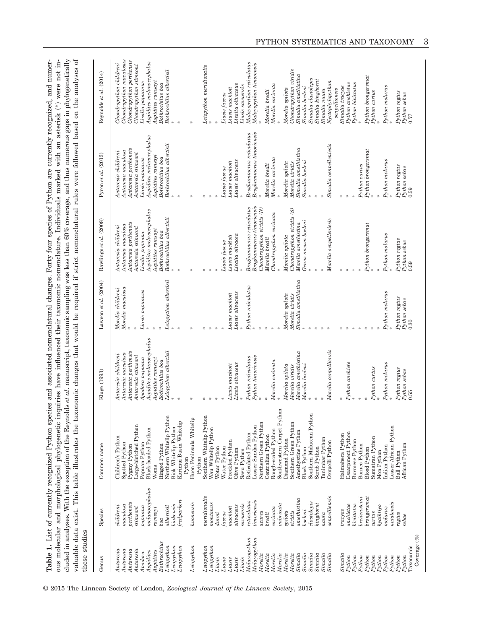The momentum and morphological physicistic inquiries have numerous their casourount noninentative: murvious makes with an assertise,  $\alpha$  were not included in analyses. With the exception of the Reynolds *et al.* manuscri ous molecular and morphological phylogenetic inquiries have influenced their taxonomic nomenclature. Individuals marked with an asterisk (\*) were not in-Table 1. List of currently recognized Python species and associated nomenclatural changes. Forty four species of Python are currently recognized, and numercluded in analyses. With the exception of the Reynolds *et al*. manuscript, taxonomic sampling was less than 60% coverage, and thus numerous gaps in phylogenetically valuable data exist. This table illustrates the taxonomic changes that would be required if strict nomenclatural rules were followed based on the analyses of **Table 1.** List of currently recognized Python species and associated nomenclatural changes. Forty four species of Python are currently recognized, and numerous molecular and morphological phylogenetic inquiries have influenced their taxonomic nomenclature. Individuals marked with an asterisk (\*) were not inthese studies

| Genus                                                                                                                                                                   | Species                                                                                                                                                 | Common name                                                                                                                                                                                                                                                      | Kluge (1993)                                                                                                                                                                                             | Lawson et al. (2004)                                                                               | Rawlings et al. (2008)                                                                                                                                                                                     | Pyron et al. $(2013)$                                                                                                                                                                                      | Reynolds et al. (2014)                                                                                                                                                                                                       |
|-------------------------------------------------------------------------------------------------------------------------------------------------------------------------|---------------------------------------------------------------------------------------------------------------------------------------------------------|------------------------------------------------------------------------------------------------------------------------------------------------------------------------------------------------------------------------------------------------------------------|----------------------------------------------------------------------------------------------------------------------------------------------------------------------------------------------------------|----------------------------------------------------------------------------------------------------|------------------------------------------------------------------------------------------------------------------------------------------------------------------------------------------------------------|------------------------------------------------------------------------------------------------------------------------------------------------------------------------------------------------------------|------------------------------------------------------------------------------------------------------------------------------------------------------------------------------------------------------------------------------|
| <b>Bothrochilus</b><br>Leiopython<br>$Lei$ opython<br>Leiopython<br>Leiopy ton<br>Antaresia<br>Antaresia<br>Antaresia<br>Antaresia<br>Aspidites<br>Aspidites<br>Apodora | mela no cephalus<br>fredparkeri<br>perthensis<br>huonensis<br>maculosa<br>biakensis<br>albertisii<br>childreni<br>papuana<br>stimsoni<br>ramsayi<br>boa | Northern Whitelip Pythor<br>Huon Peninsula Whitelip<br>Karimui Basin Whitelip<br>Large-blotched Python<br>Biak Whitelip Python<br>Black-headed Python<br>Children's Python<br>Spotted Python<br>Papuan Python<br>Ringed Python<br>Pygmy Python<br>Python<br>Woma | Aspidites melanocephalus<br>Leiopython albertisii<br>Antaresia perthensis<br>Antaresia maculosa<br>Antaresia childreni<br>Antaresia stimsoni<br>Apodora papuana<br>Aspidites ramsayi<br>Bothrochilus boa | Leiopython albertisii<br>Morelia maculosa<br>Morelia childreni<br>Liasis papuanus<br>$\frac{M}{N}$ | Aspidites melanocephalus<br>Bothrochilus albertisii<br>Antaresia perthensis<br>Antaresia maculosa<br>Antaresia childreni<br>Antaresia stimsoni<br>Aspidites ramsayi<br>Bothrochilus boa<br>Lisalia papuana | Aspidites melanocephalus<br>Bothrochilus albertisii<br>Antaresia perthensis<br>Antaresia maculosa<br>Antaresia childreni<br>Antaresia stimsoni<br>Aspidites ramsayi<br>Liasis papuanus<br>Bothrochilus boa | Chondropython maculosus<br>Chondropython perthensis<br>Aspidites melanocephalus<br>Chondropython childreni<br>Chondropython stimsoni<br>Bothrochilus albertisii<br>Lisalia papuanus<br>Aspidites ramsayi<br>Bothrochilus boa |
| Leiopython<br>Leiophon<br>Liasis                                                                                                                                        | meridionalis<br>montanus                                                                                                                                | Southern Whitelip Python<br>Wau Whitelip Python<br>Wetar Python<br>Python                                                                                                                                                                                        |                                                                                                                                                                                                          |                                                                                                    |                                                                                                                                                                                                            |                                                                                                                                                                                                            | Leiopython meridionalis                                                                                                                                                                                                      |
| Liasis<br>Liasis<br>Liasis<br>Liasis                                                                                                                                    | savuensis<br>olivaceus<br>nackloti<br>fuscus<br>dunni                                                                                                   | Freckled Python<br>Water Python<br>Olive Python<br>Savu Python                                                                                                                                                                                                   | Liasis olivaceus<br>Liasis mackloti                                                                                                                                                                      | Liasis olivaceus<br>Liasis mackloti                                                                | Lisalia olivacea<br>Liasis mackloti<br>Liasis fuscus                                                                                                                                                       | Liasis olivaceus<br>Liasis mackloti<br>Liasis fuscus                                                                                                                                                       | Lisalia olivaceus<br>Liasis savuensis<br>Liasis mackloti<br>Liasis fuscus                                                                                                                                                    |
| Malayopython<br>Malayopython<br>Morelia<br>Morelia<br>Morelia<br>Morelia                                                                                                | timoriensis<br>reticulatus<br>imbricata<br>carinata<br>azurea<br>bredli                                                                                 | Southwestern Carpet Python<br>Northern Green Python<br>Lesser Sundas Python<br>Rough-scaled Python<br>Reticulated Python<br>Centralian Python                                                                                                                    | Python timoriensis<br>Python reticulatus<br>Morelia carinata<br>×                                                                                                                                        | Python reticulatus                                                                                 | Broghammerus timoriensis<br>Broghammerus reticulatus<br>Chondropython viridis (N)<br>Chondropython carinata<br>Morelia bredli                                                                              | Broghammerus timoriensis<br>Broghammerus reticulatus<br>Morelia carinata<br>Morelia bredli<br>$\frac{1}{2}$                                                                                                | Malayopython reticulatus<br>Malayopython timorensis<br>Morelia carinata<br>Morelia bredli                                                                                                                                    |
| Simalia<br>Simalia<br>Simalia<br>Simalia<br>Simalia<br>Morelia<br>Morelia<br>Simalia                                                                                    | $\label{eq:requad} one pellicns is$<br>amethistina<br>clastolepis<br>kinghorni<br>boeleni<br>spilota<br>viridis<br>nauta                                | Southern Moluccan Python<br>Southern Green Python<br>Amethystine Python<br>Tanimbar Python<br>Diamond Python<br>Oenpelli Python<br>Scrub Python<br><b>Black Python</b>                                                                                           | Morelia oenpelliensis<br>Morelia amethistina<br>Morelia boeleni<br>Morelia spilota<br>Morelia viridis                                                                                                    | Simalia amethistina<br>Morelia spilota<br>Morelia viridis                                          | Chondropython viridis (S)<br>Morelia oenpelleniesis<br>Genus novum boeleni<br>Morelia amethistina<br>Morelia spilota                                                                                       | Simalia oenpelleniesis<br>Simalia amethistina<br>Simalia boeleni<br>Morelia spilota<br>Morelia viridis                                                                                                     | Chondropython viridis<br>Simalia amethistina<br>Simalia clastolepis<br>Simalia kinghorni<br>Nyctophylopython<br>Simalia boeleni<br>Morelia spilota<br>$open liensis$<br>Simalia nauta                                        |
| Simalia<br>Python<br>Python<br>Python<br>Python<br>Python<br>Python                                                                                                     | breite nstein<br>$b$ rongersmai<br>bivitatus<br>anchietae<br>kyaiktiyo<br>tracyae<br>curtus                                                             | Escarpment Python<br>Halmahera Python<br>Sumatran Python<br>Burmese Python<br>Borneo Python<br><b>Blood Python</b><br>Mon Python                                                                                                                                 | $Python\, and the$<br>Python curtus<br>ų.                                                                                                                                                                |                                                                                                    | Python brongersmai                                                                                                                                                                                         | Python brongersmai<br>Python curtus                                                                                                                                                                        | Python brongersmai<br>Python bivittatus<br>Python anchietae<br>Simalia tracyae<br>Python curtus                                                                                                                              |
| Coverage $(\%)$<br>Taxonomic<br>Python<br>Python<br>Python<br>Python                                                                                                    | natalensis<br>molums<br>regius<br>sebae                                                                                                                 | Lesser African Python<br>African Python<br>Indian Python<br><b>Ball Python</b>                                                                                                                                                                                   | $P$ ython molurus<br>Python regius<br>$Python\;sebae\\ 0.55$                                                                                                                                             | Python molurus<br>Python regius<br>Python sebae<br>0.30                                            | Python molurus<br>Python regius<br>${\it Python \; sebac\atop 0.59}$                                                                                                                                       | Python~molumes<br>Python regius<br>${\it Python\;sebae}\atop 0.59$                                                                                                                                         | Python~molumes<br>Python regius<br>$Python\;sebae\ 0.77$                                                                                                                                                                     |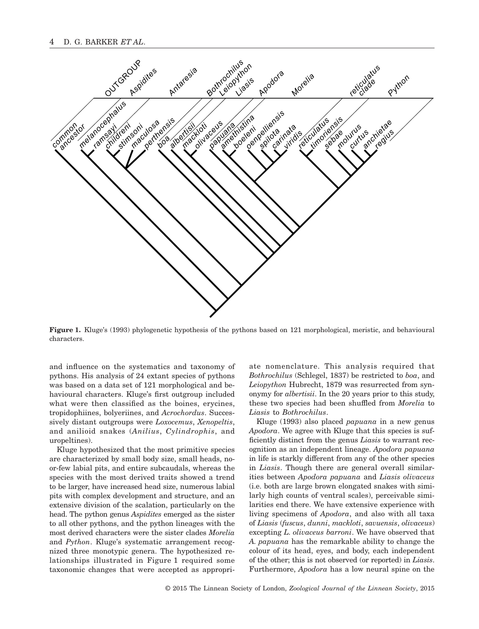

**Figure 1.** Kluge's (1993) phylogenetic hypothesis of the pythons based on 121 morphological, meristic, and behavioural characters.

and influence on the systematics and taxonomy of pythons. His analysis of 24 extant species of pythons was based on a data set of 121 morphological and behavioural characters. Kluge's first outgroup included what were then classified as the boines, erycines, tropidophiines, bolyeriines, and *Acrochordus*. Successively distant outgroups were *Loxocemus*, *Xenopeltis*, and anilioid snakes (*Anilius*, *Cylindrophis*, and uropeltines).

Kluge hypothesized that the most primitive species are characterized by small body size, small heads, noor-few labial pits, and entire subcaudals, whereas the species with the most derived traits showed a trend to be larger, have increased head size, numerous labial pits with complex development and structure, and an extensive division of the scalation, particularly on the head. The python genus *Aspidites* emerged as the sister to all other pythons, and the python lineages with the most derived characters were the sister clades *Morelia* and *Python*. Kluge's systematic arrangement recognized three monotypic genera. The hypothesized relationships illustrated in Figure 1 required some taxonomic changes that were accepted as appropriate nomenclature. This analysis required that *Bothrochilus* (Schlegel, 1837) be restricted to *boa*, and *Leiopython* Hubrecht, 1879 was resurrected from synonymy for *albertisii*. In the 20 years prior to this study, these two species had been shuffled from *Morelia* to *Liasis* to *Bothrochilus*.

Kluge (1993) also placed *papuana* in a new genus *Apodora*. We agree with Kluge that this species is sufficiently distinct from the genus *Liasis* to warrant recognition as an independent lineage. *Apodora papuana* in life is starkly different from any of the other species in *Liasis*. Though there are general overall similarities between *Apodora papuana* and *Liasis olivaceus* (i.e. both are large brown elongated snakes with similarly high counts of ventral scales), perceivable similarities end there. We have extensive experience with living specimens of *Apodora*, and also with all taxa of *Liasis* (*fuscus*, *dunni*, *mackloti*, *savuensis*, *olivaceus*) excepting *L. olivaceus barroni*. We have observed that *A. papuana* has the remarkable ability to change the colour of its head, eyes, and body, each independent of the other; this is not observed (or reported) in *Liasis*. Furthermore, *Apodora* has a low neural spine on the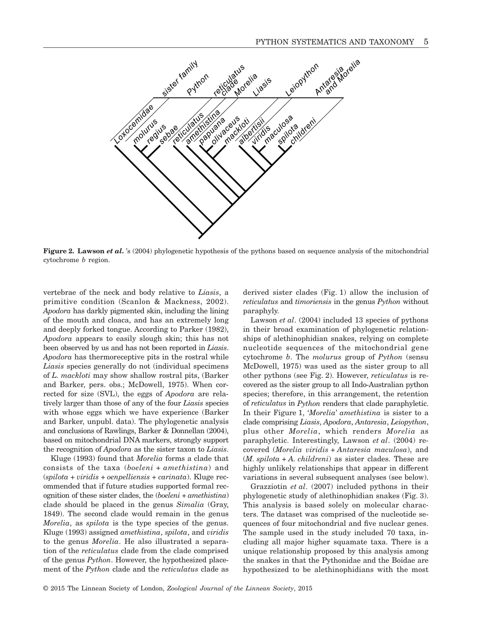

**Figure 2. Lawson** *et al.* 's (2004) phylogenetic hypothesis of the pythons based on sequence analysis of the mitochondrial cytochrome *b* region.

vertebrae of the neck and body relative to *Liasis*, a primitive condition (Scanlon & Mackness, 2002). *Apodora* has darkly pigmented skin, including the lining of the mouth and cloaca, and has an extremely long and deeply forked tongue. According to Parker (1982), *Apodora* appears to easily slough skin; this has not been observed by us and has not been reported in *Liasis*. *Apodora* has thermoreceptive pits in the rostral while *Liasis* species generally do not (individual specimens of *L. mackloti* may show shallow rostral pits, (Barker and Barker, pers. obs.; McDowell, 1975). When corrected for size (SVL), the eggs of *Apodora* are relatively larger than those of any of the four *Liasis* species with whose eggs which we have experience (Barker and Barker, unpubl. data). The phylogenetic analysis and conclusions of Rawlings, Barker & Donnellan (2004), based on mitochondrial DNA markers, strongly support the recognition of *Apodora* as the sister taxon to *Liasis*.

Kluge (1993) found that *Morelia* forms a clade that consists of the taxa (*boeleni* + *amethistina*) and (*spilota* + *viridis* + *oenpelliensis* + *carinata*). Kluge recommended that if future studies supported formal recognition of these sister clades, the (*boeleni* + *amethistina*) clade should be placed in the genus *Simalia* (Gray, 1849). The second clade would remain in the genus *Morelia*, as *spilota* is the type species of the genus. Kluge (1993) assigned *amethistina*, *spilota*, and *viridis* to the genus *Morelia*. He also illustrated a separation of the *reticulatus* clade from the clade comprised of the genus *Python*. However, the hypothesized placement of the *Python* clade and the *reticulatus* clade as derived sister clades (Fig. 1) allow the inclusion of *reticulatus* and *timoriensis* in the genus *Python* without paraphyly.

Lawson *et al*. (2004) included 13 species of pythons in their broad examination of phylogenetic relationships of alethinophidian snakes, relying on complete nucleotide sequences of the mitochondrial gene cytochrome *b*. The *molurus* group of *Python* (sensu McDowell, 1975) was used as the sister group to all other pythons (see Fig. 2). However, *reticulatus* is recovered as the sister group to all Indo-Australian python species; therefore, in this arrangement, the retention of *reticulatus* in *Python* renders that clade paraphyletic. In their Figure 1, '*Morelia*' *amethistina* is sister to a clade comprising *Liasis*, *Apodora*, *Antaresia*, *Leiopython*, plus other *Morelia*, which renders *Morelia* as paraphyletic. Interestingly, Lawson *et al*. (2004) recovered (*Morelia viridis* + *Antaresia maculosa*), and (*M. spilota* + *A. childreni*) as sister clades. These are highly unlikely relationships that appear in different variations in several subsequent analyses (see below).

Grazziotin *et al*. (2007) included pythons in their phylogenetic study of alethinophidian snakes (Fig. 3). This analysis is based solely on molecular characters. The dataset was comprised of the nucleotide sequences of four mitochondrial and five nuclear genes. The sample used in the study included 70 taxa, including all major higher squamate taxa. There is a unique relationship proposed by this analysis among the snakes in that the Pythonidae and the Boidae are hypothesized to be alethinophidians with the most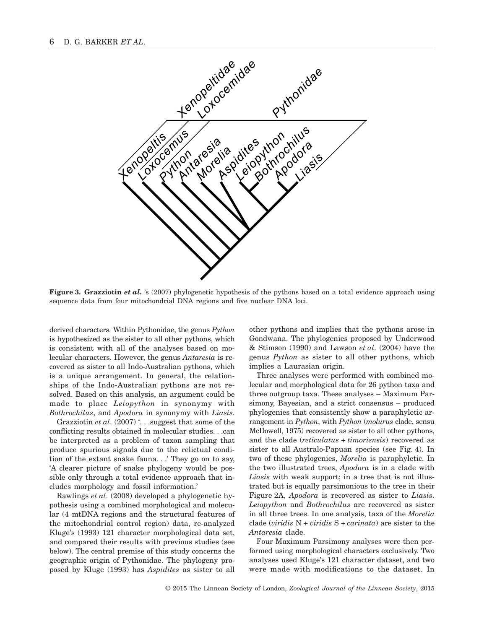

**Figure 3. Grazziotin** *et al***.** 's (2007) phylogenetic hypothesis of the pythons based on a total evidence approach using sequence data from four mitochondrial DNA regions and five nuclear DNA loci.

derived characters. Within Pythonidae, the genus *Python* is hypothesized as the sister to all other pythons, which is consistent with all of the analyses based on molecular characters. However, the genus *Antaresia* is recovered as sister to all Indo-Australian pythons, which is a unique arrangement. In general, the relationships of the Indo-Australian pythons are not resolved. Based on this analysis, an argument could be made to place *Leiopython* in synonymy with *Bothrochilus*, and *Apodora* in synonymy with *Liasis*.

Grazziotin *et al.* (2007) '... suggest that some of the conflicting results obtained in molecular studies. . .can be interpreted as a problem of taxon sampling that produce spurious signals due to the relictual condition of the extant snake fauna. . .' They go on to say, 'A clearer picture of snake phylogeny would be possible only through a total evidence approach that includes morphology and fossil information.'

Rawlings *et al*. (2008) developed a phylogenetic hypothesis using a combined morphological and molecular (4 mtDNA regions and the structural features of the mitochondrial control region) data, re-analyzed Kluge's (1993) 121 character morphological data set, and compared their results with previous studies (see below). The central premise of this study concerns the geographic origin of Pythonidae. The phylogeny proposed by Kluge (1993) has *Aspidites* as sister to all

other pythons and implies that the pythons arose in Gondwana. The phylogenies proposed by Underwood & Stimson (1990) and Lawson *et al*. (2004) have the genus *Python* as sister to all other pythons, which implies a Laurasian origin.

Three analyses were performed with combined molecular and morphological data for 26 python taxa and three outgroup taxa. These analyses – Maximum Parsimony, Bayesian, and a strict consensus – produced phylogenies that consistently show a paraphyletic arrangement in *Python*, with *Python* (*molurus* clade, sensu McDowell, 1975) recovered as sister to all other pythons, and the clade (*reticulatus* + *timoriensis*) recovered as sister to all Australo-Papuan species (see Fig. 4). In two of these phylogenies, *Morelia* is paraphyletic. In the two illustrated trees, *Apodora* is in a clade with *Liasis* with weak support; in a tree that is not illustrated but is equally parsimonious to the tree in their Figure 2A, *Apodora* is recovered as sister to *Liasis*. *Leiopython* and *Bothrochilus* are recovered as sister in all three trees. In one analysis, taxa of the *Morelia* clade (*viridis* N + *viridis* S + *carinata*) are sister to the *Antaresia* clade.

Four Maximum Parsimony analyses were then performed using morphological characters exclusively. Two analyses used Kluge's 121 character dataset, and two were made with modifications to the dataset. In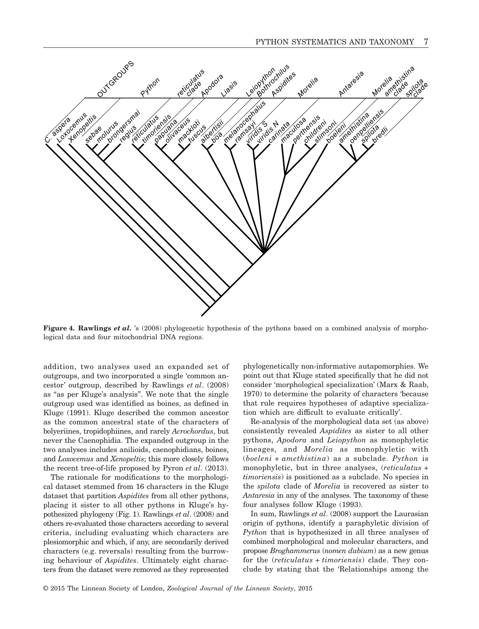

**Figure 4. Rawlings** *et al***.** 's (2008) phylogenetic hypothesis of the pythons based on a combined analysis of morphological data and four mitochondrial DNA regions.

addition, two analyses used an expanded set of outgroups, and two incorporated a single 'common ancestor' outgroup, described by Rawlings *et al*. (2008) as "as per Kluge's analysis". We note that the single outgroup used was identified as boines, as defined in Kluge (1991). Kluge described the common ancestor as the common ancestral state of the characters of bolyeriines, tropidophiines, and rarely *Acrochordus*, but never the Caenophidia. The expanded outgroup in the two analyses includes anilioids, caenophidians, boines, and *Loxocemus* and *Xenopeltis*; this more closely follows the recent tree-of-life proposed by Pyron *et al*. (2013).

The rationale for modifications to the morphological dataset stemmed from 16 characters in the Kluge dataset that partition *Aspidites* from all other pythons, placing it sister to all other pythons in Kluge's hypothesized phylogeny (Fig. 1). Rawlings *et al*. (2008) and others re-evaluated those characters according to several criteria, including evaluating which characters are plesiomorphic and which, if any, are secondarily derived characters (e.g. reversals) resulting from the burrowing behaviour of *Aspidites*. Ultimately eight characters from the dataset were removed as they represented phylogenetically non-informative autapomorphies. We point out that Kluge stated specifically that he did not consider 'morphological specialization' (Marx & Raab, 1970) to determine the polarity of characters 'because that rule requires hypotheses of adaptive specialization which are difficult to evaluate critically'.

Re-analysis of the morphological data set (as above) consistently revealed *Aspidites* as sister to all other pythons, *Apodora* and *Leiopython* as monophyletic lineages, and *Morelia* as monophyletic with (*boeleni* + *amethistina*) as a subclade. *Python* is monophyletic, but in three analyses, (*reticulatus* + *timoriensis*) is positioned as a subclade. No species in the *spilota* clade of *Morelia* is recovered as sister to *Antaresia* in any of the analyses. The taxonomy of these four analyses follow Kluge (1993).

In sum, Rawlings *et al*. (2008) support the Laurasian origin of pythons, identify a paraphyletic division of *Python* that is hypothesized in all three analyses of combined morphological and molecular characters, and propose *Broghammerus* (*nomen dubium*) as a new genus for the (*reticulatus* + *timoriensis*) clade. They conclude by stating that the 'Relationships among the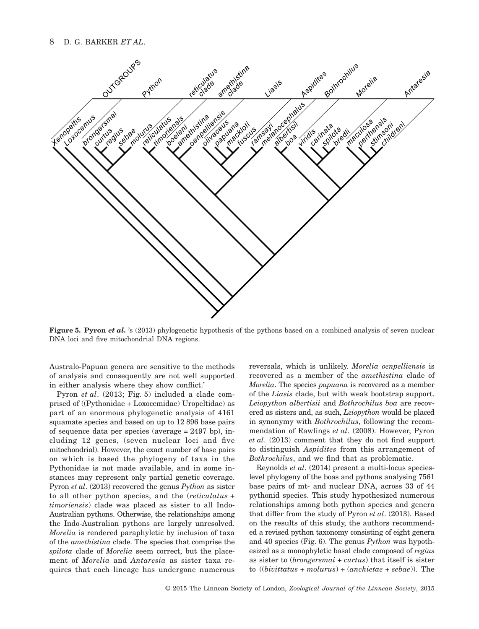

**Figure 5. Pyron** *et al*. 's (2013) phylogenetic hypothesis of the pythons based on a combined analysis of seven nuclear DNA loci and five mitochondrial DNA regions.

Australo-Papuan genera are sensitive to the methods of analysis and consequently are not well supported in either analysis where they show conflict.'

Pyron *et al*. (2013; Fig. 5) included a clade comprised of ((Pythonidae + Loxocemidae) Uropeltidae) as part of an enormous phylogenetic analysis of 4161 squamate species and based on up to 12 896 base pairs of sequence data per species (average = 2497 bp), including 12 genes, (seven nuclear loci and five mitochondrial). However, the exact number of base pairs on which is based the phylogeny of taxa in the Pythonidae is not made available, and in some instances may represent only partial genetic coverage. Pyron *et al*. (2013) recovered the genus *Python* as sister to all other python species, and the (*reticulatus* + *timoriensis*) clade was placed as sister to all Indo-Australian pythons. Otherwise, the relationships among the Indo-Australian pythons are largely unresolved. *Morelia* is rendered paraphyletic by inclusion of taxa of the *amethistina* clade. The species that comprise the *spilota* clade of *Morelia* seem correct, but the placement of *Morelia* and *Antaresia* as sister taxa requires that each lineage has undergone numerous

reversals, which is unlikely. *Morelia oenpelliensis* is recovered as a member of the *amethistina* clade of *Morelia*. The species *papuana* is recovered as a member of the *Liasis* clade, but with weak bootstrap support. *Leiopython albertisii* and *Bothrochilus boa* are recovered as sisters and, as such, *Leiopython* would be placed in synonymy with *Bothrochilus*, following the recommendation of Rawlings *et al*. (2008). However, Pyron *et al*. (2013) comment that they do not find support to distinguish *Aspidites* from this arrangement of *Bothrochilus*, and we find that as problematic.

Reynolds *et al*. (2014) present a multi-locus specieslevel phylogeny of the boas and pythons analysing 7561 base pairs of mt- and nuclear DNA, across 33 of 44 pythonid species. This study hypothesized numerous relationships among both python species and genera that differ from the study of Pyron *et al*. (2013). Based on the results of this study, the authors recommended a revised python taxonomy consisting of eight genera and 40 species (Fig. 6). The genus *Python* was hypothesized as a monophyletic basal clade composed of *regius* as sister to (*brongersmai* + *curtus*) that itself is sister to ((*bivittatus* + *molurus*)+(*anchietae* + *sebae*)). The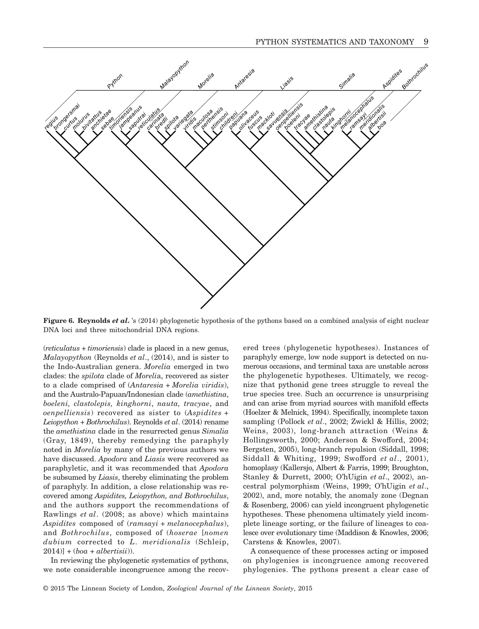

**Figure 6. Reynolds** *et al.* 's (2014) phylogenetic hypothesis of the pythons based on a combined analysis of eight nuclear DNA loci and three mitochondrial DNA regions.

(*reticulatus* + *timoriensis*) clade is placed in a new genus, *Malayopython* (Reynolds *et al*., (2014), and is sister to the Indo-Australian genera. *Morelia* emerged in two clades: the *spilota* clade of *Moreli*a, recovered as sister to a clade comprised of (*Antaresia* + *Morelia viridis*), and the Australo-Papuan/Indonesian clade (*amethistina*, *boeleni, clastolepis, kinghorni*, *nauta, tracyae*, and *oenpelliensis*) recovered as sister to (*Aspidites* + *Leiopython* + *Bothrochilus*). Reynolds *et al*. (2014) rename the *amethistina* clade in the resurrected genus *Simalia* (Gray, 1849), thereby remedying the paraphyly noted in *Morelia* by many of the previous authors we have discussed. *Apodora* and *Liasis* were recovered as paraphyletic, and it was recommended that *Apodora* be subsumed by *Liasis*, thereby eliminating the problem of paraphyly. In addition, a close relationship was recovered among *Aspidites, Leiopython, and Bothrochilus*, and the authors support the recommendations of Rawlings *et al*. (2008; as above) which maintains *Aspidites* composed of (*ramsayi* + *melanocephalus*), and *Bothrochilus*, composed of (*hoserae* [*nomen dubium* corrected to *L*. *meridionalis* (Schleip, 2014)] + (*boa* + *albertisii*)).

In reviewing the phylogenetic systematics of pythons, we note considerable incongruence among the recovered trees (phylogenetic hypotheses). Instances of paraphyly emerge, low node support is detected on numerous occasions, and terminal taxa are unstable across the phylogenetic hypotheses. Ultimately, we recognize that pythonid gene trees struggle to reveal the true species tree. Such an occurrence is unsurprising and can arise from myriad sources with manifold effects (Hoelzer & Melnick, 1994). Specifically, incomplete taxon sampling (Pollock *et al*., 2002; Zwickl & Hillis, 2002; Weins, 2003), long-branch attraction (Weins & Hollingsworth, 2000; Anderson & Swofford, 2004; Bergsten, 2005), long-branch repulsion (Siddall, 1998; Siddall & Whiting, 1999; Swofford *et al*., 2001), homoplasy (Kallersjo, Albert & Farris, 1999; Broughton, Stanley & Durrett, 2000; O'hUigin *et al*., 2002), ancestral polymorphism (Weins, 1999; O'hUigin *et al*., 2002), and, more notably, the anomaly zone (Degnan & Rosenberg, 2006) can yield incongruent phylogenetic hypotheses. These phenomena ultimately yield incomplete lineage sorting, or the failure of lineages to coalesce over evolutionary time (Maddison & Knowles, 2006; Carstens & Knowles, 2007).

A consequence of these processes acting or imposed on phylogenies is incongruence among recovered phylogenies. The pythons present a clear case of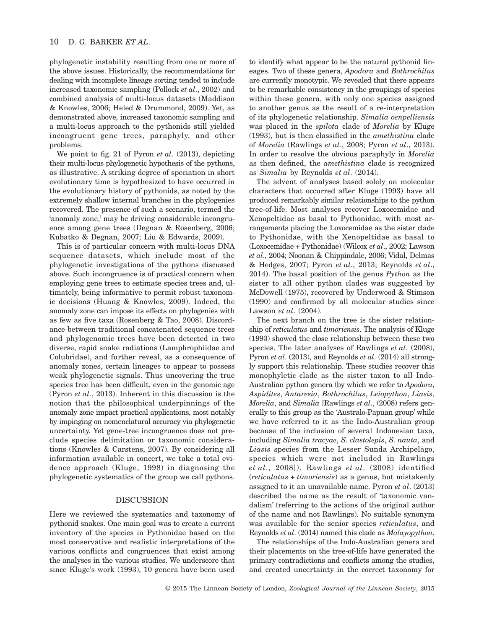phylogenetic instability resulting from one or more of the above issues. Historically, the recommendations for dealing with incomplete lineage sorting tended to include increased taxonomic sampling (Pollock *et al*., 2002) and combined analysis of multi-locus datasets (Maddison & Knowles, 2006; Heled & Drummond, 2009). Yet, as demonstrated above, increased taxonomic sampling and a multi-locus approach to the pythonids still yielded incongruent gene trees, paraphyly, and other problems.

We point to fig. 21 of Pyron *et al*. (2013), depicting their multi-locus phylogenetic hypothesis of the pythons, as illustrative. A striking degree of speciation in short evolutionary time is hypothesized to have occurred in the evolutionary history of pythonids, as noted by the extremely shallow internal branches in the phylogenies recovered. The presence of such a scenario, termed the 'anomaly zone,' may be driving considerable incongruence among gene trees (Degnan & Rosenberg, 2006; Kubatko & Degnan, 2007; Liu & Edwards, 2009).

This is of particular concern with multi-locus DNA sequence datasets, which include most of the phylogenetic investigations of the pythons discussed above. Such incongruence is of practical concern when employing gene trees to estimate species trees and, ultimately, being informative to permit robust taxonomic decisions (Huang & Knowles, 2009). Indeed, the anomaly zone can impose its effects on phylogenies with as few as five taxa (Rosenberg & Tao, 2008). Discordance between traditional concatenated sequence trees and phylogenomic trees have been detected in two diverse, rapid snake radiations (Lamphrophiidae and Colubridae), and further reveal, as a consequence of anomaly zones, certain lineages to appear to possess weak phylogenetic signals. Thus uncovering the true species tree has been difficult, even in the genomic age (Pyron *et al*., 2013). Inherent in this discussion is the notion that the philosophical underpinnings of the anomaly zone impact practical applications, most notably by impinging on nomenclatural accuracy via phylogenetic uncertainty. Yet gene-tree incongruence does not preclude species delimitation or taxonomic considerations (Knowles & Carstens, 2007). By considering all information available in concert, we take a total evidence approach (Kluge, 1998) in diagnosing the phylogenetic systematics of the group we call pythons.

#### DISCUSSION

Here we reviewed the systematics and taxonomy of pythonid snakes. One main goal was to create a current inventory of the species in Pythonidae based on the most conservative and realistic interpretations of the various conflicts and congruences that exist among the analyses in the various studies. We underscore that since Kluge's work (1993), 10 genera have been used

to identify what appear to be the natural pythonid lineages. Two of these genera, *Apodora* and *Bothrochilus* are currently monotypic. We revealed that there appears to be remarkable consistency in the groupings of species within these genera, with only one species assigned to another genus as the result of a re-interpretation of its phylogenetic relationship. *Simalia oenpelliensis* was placed in the *spilota* clade of *Morelia* by Kluge (1993), but is then classified in the *amethistina* clade of *Morelia* (Rawlings *et al*., 2008; Pyron *et al*., 2013). In order to resolve the obvious paraphyly in *Morelia* as then defined, the *amethistina* clade is recognized as *Simalia* by Reynolds *et al*. (2014).

The advent of analyses based solely on molecular characters that occurred after Kluge (1993) have all produced remarkably similar relationships to the python tree-of-life. Most analyses recover Loxocemidae and Xenopeltidae as basal to Pythonidae, with most arrangements placing the Loxocemidae as the sister clade to Pythonidae, with the Xenopeltidae as basal to (Loxocemidae + Pythonidae) (Wilcox *et al*., 2002; Lawson *et al*., 2004; Noonan & Chippindale, 2006; Vidal, Delmas & Hedges, 2007; Pyron *et al*., 2013; Reynolds *et al*., 2014). The basal position of the genus *Python* as the sister to all other python clades was suggested by McDowell (1975), recovered by Underwood & Stimson (1990) and confirmed by all molecular studies since Lawson *et al*. (2004).

The next branch on the tree is the sister relationship of *reticulatus* and *timoriensis*. The analysis of Kluge (1993) showed the close relationship between these two species. The later analyses of Rawlings *et al*. (2008), Pyron *et al*. (2013), and Reynolds *et al*. (2014) all strongly support this relationship. These studies recover this monophyletic clade as the sister taxon to all Indo-Australian python genera (by which we refer to *Apodora*, *Aspidites*, *Antaresia*, *Bothrochilus*, *Leiopython*, *Liasis*, *Morelia*, and *Simalia* [Rawlings *et al*., (2008) refers generally to this group as the 'Australo-Papuan group' while we have referred to it as the Indo-Australian group because of the inclusion of several Indonesian taxa, including *Simalia tracyae*, *S. clastolepis*, *S. nauta*, and *Liasis* species from the Lesser Sunda Archipelago, species which were not included in Rawlings *et al*., 2008]). Rawlings *et al*. (2008) identified (*reticulatus* + *timoriensis*) as a genus, but mistakenly assigned to it an unavailable name. Pyron *et al*. (2013) described the name as the result of 'taxonomic vandalism' (referring to the actions of the original author of the name and not Rawlings). No suitable synonym was available for the senior species *reticulatus*, and Reynolds *et al*. (2014) named this clade as *Malayopython*.

The relationships of the Indo-Australian genera and their placements on the tree-of-life have generated the primary contradictions and conflicts among the studies, and created uncertainty in the correct taxonomy for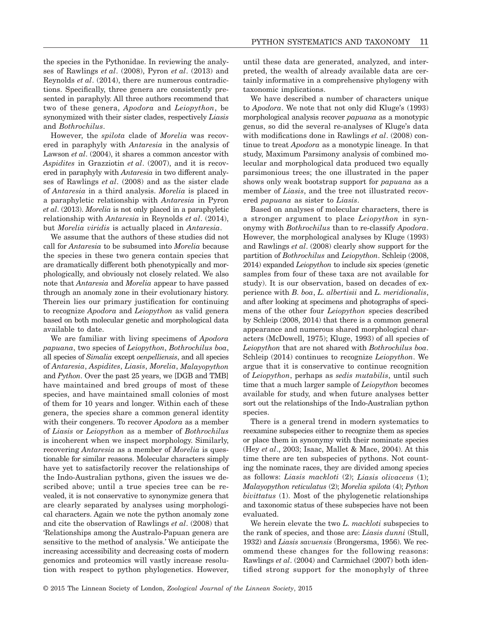the species in the Pythonidae. In reviewing the analyses of Rawlings *et al*. (2008), Pyron *et al*. (2013) and Reynolds *et al*. (2014), there are numerous contradictions. Specifically, three genera are consistently presented in paraphyly. All three authors recommend that two of these genera, *Apodora* and *Leiopython*, be synonymized with their sister clades, respectively *Liasis* and *Bothrochilus*.

However, the *spilota* clade of *Morelia* was recovered in paraphyly with *Antaresia* in the analysis of Lawson *et al*. (2004), it shares a common ancestor with *Aspidites* in Grazziotin *et al*. (2007), and it is recovered in paraphyly with *Antaresia* in two different analyses of Rawlings *et al*. (2008) and as the sister clade of *Antaresia* in a third analysis. *Morelia* is placed in a paraphyletic relationship with *Antaresia* in Pyron *et al*. (2013). *Morelia* is not only placed in a paraphyletic relationship with *Antaresia* in Reynolds *et al*. (2014), but *Morelia viridis* is actually placed in *Antaresia*.

We assume that the authors of these studies did not call for *Antaresia* to be subsumed into *Morelia* because the species in these two genera contain species that are dramatically different both phenotypically and morphologically, and obviously not closely related. We also note that *Antaresia* and *Morelia* appear to have passed through an anomaly zone in their evolutionary history. Therein lies our primary justification for continuing to recognize *Apodora* and *Leiopython* as valid genera based on both molecular genetic and morphological data available to date.

We are familiar with living specimens of *Apodora papuana*, two species of *Leiopython*, *Bothrochilus boa*, all species of *Simalia* except *oenpelliensis*, and all species of *Antaresia*, *Aspidites*, *Liasis*, *Morelia*, *Malayopython* and *Python*. Over the past 25 years, we [DGB and TMB] have maintained and bred groups of most of these species, and have maintained small colonies of most of them for 10 years and longer. Within each of these genera, the species share a common general identity with their congeners. To recover *Apodora* as a member of *Liasis* or *Leiopython* as a member of *Bothrochilus* is incoherent when we inspect morphology. Similarly, recovering *Antaresia* as a member of *Morelia* is questionable for similar reasons. Molecular characters simply have yet to satisfactorily recover the relationships of the Indo-Australian pythons, given the issues we described above; until a true species tree can be revealed, it is not conservative to synonymize genera that are clearly separated by analyses using morphological characters. Again we note the python anomaly zone and cite the observation of Rawlings *et al*. (2008) that 'Relationships among the Australo-Papuan genera are sensitive to the method of analysis.' We anticipate the increasing accessibility and decreasing costs of modern genomics and proteomics will vastly increase resolution with respect to python phylogenetics. However, until these data are generated, analyzed, and interpreted, the wealth of already available data are certainly informative in a comprehensive phylogeny with taxonomic implications.

We have described a number of characters unique to *Apodora*. We note that not only did Kluge's (1993) morphological analysis recover *papuana* as a monotypic genus, so did the several re-analyses of Kluge's data with modifications done in Rawlings *et al*. (2008) continue to treat *Apodora* as a monotypic lineage. In that study, Maximum Parsimony analysis of combined molecular and morphological data produced two equally parsimonious trees; the one illustrated in the paper shows only weak bootstrap support for *papuana* as a member of *Liasis*, and the tree not illustrated recovered *papuana* as sister to *Liasis*.

Based on analyses of molecular characters, there is a stronger argument to place *Leiopython* in synonymy with *Bothrochilus* than to re-classify *Apodora*. However, the morphological analyses by Kluge (1993) and Rawlings *et al*. (2008) clearly show support for the partition of *Bothrochilus* and *Leiopython*. Schleip (2008, 2014) expanded *Leiopython* to include six species (genetic samples from four of these taxa are not available for study). It is our observation, based on decades of experience with *B. boa*, *L. albertisii* and *L. meridionalis*, and after looking at specimens and photographs of specimens of the other four *Leiopython* species described by Schleip (2008, 2014) that there is a common general appearance and numerous shared morphological characters (McDowell, 1975); Kluge, 1993) of all species of *Leiopython* that are not shared with *Bothrochilus boa*. Schleip (2014) continues to recognize *Leiopython*. We argue that it is conservative to continue recognition of *Leiopython*, perhaps as *sedis mutabilis*, until such time that a much larger sample of *Leiopython* becomes available for study, and when future analyses better sort out the relationships of the Indo-Australian python species.

There is a general trend in modern systematics to reexamine subspecies either to recognize them as species or place them in synonymy with their nominate species (Hey *et al*., 2003; Isaac, Mallet & Mace, 2004). At this time there are ten subspecies of pythons. Not counting the nominate races, they are divided among species as follows: *Liasis mackloti* (2); *Liasis olivaceus* (1); *Malayopython reticulatus* (2); *Morelia spilota* (4); *Python bivittatus* (1). Most of the phylogenetic relationships and taxonomic status of these subspecies have not been evaluated.

We herein elevate the two *L. mackloti* subspecies to the rank of species, and those are: *Liasis dunni* (Stull, 1932) and *Liasis savuensis* (Brongersma, 1956). We recommend these changes for the following reasons: Rawlings *et al*. (2004) and Carmichael (2007) both identified strong support for the monophyly of three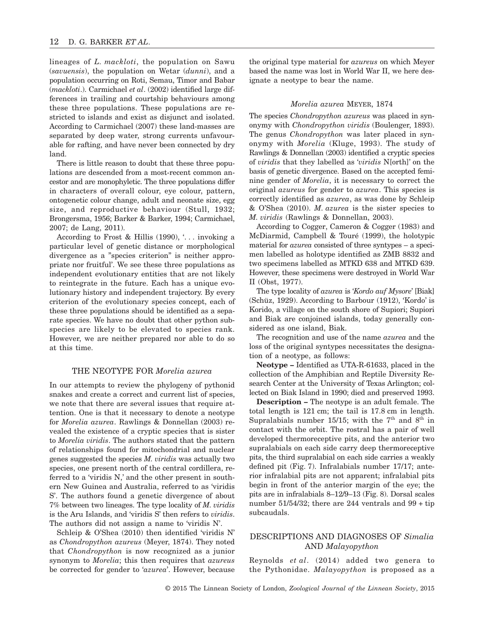lineages of *L. mackloti*, the population on Sawu (*savuensis*), the population on Wetar (*dunni*), and a population occurring on Roti, Semau, Timor and Babar (*mackloti*.). Carmichael *et al*. (2002) identified large differences in trailing and courtship behaviours among these three populations. These populations are restricted to islands and exist as disjunct and isolated. According to Carmichael (2007) these land-masses are separated by deep water, strong currents unfavourable for rafting, and have never been connected by dry land.

There is little reason to doubt that these three populations are descended from a most-recent common ancestor and are monophyletic. The three populations differ in characters of overall colour, eye colour, pattern, ontogenetic colour change, adult and neonate size, egg size, and reproductive behaviour (Stull, 1932; Brongersma, 1956; Barker & Barker, 1994; Carmichael, 2007; de Lang, 2011).

According to Frost & Hillis (1990),  $\ldots$  invoking a particular level of genetic distance or morphological divergence as a "species criterion" is neither appropriate nor fruitful'. We see these three populations as independent evolutionary entities that are not likely to reintegrate in the future. Each has a unique evolutionary history and independent trajectory. By every criterion of the evolutionary species concept, each of these three populations should be identified as a separate species. We have no doubt that other python subspecies are likely to be elevated to species rank. However, we are neither prepared nor able to do so at this time.

## THE NEOTYPE FOR *Morelia azurea*

In our attempts to review the phylogeny of pythonid snakes and create a correct and current list of species, we note that there are several issues that require attention. One is that it necessary to denote a neotype for *Morelia azurea*. Rawlings & Donnellan (2003) revealed the existence of a cryptic species that is sister to *Morelia viridis*. The authors stated that the pattern of relationships found for mitochondrial and nuclear genes suggested the species *M. viridis* was actually two species, one present north of the central cordillera, referred to a 'viridis N,' and the other present in southern New Guinea and Australia, referred to as 'viridis S'. The authors found a genetic divergence of about 7% between two lineages. The type locality of *M. viridis* is the Aru Islands, and 'viridis S' then refers to *viridis*. The authors did not assign a name to 'viridis N'.

Schleip & O'Shea (2010) then identified 'viridis N' as *Chondropython azureus* (Meyer, 1874). They noted that *Chondropython* is now recognized as a junior synonym to *Morelia*; this then requires that *azureus* be corrected for gender to '*azurea*'. However, because

the original type material for *azureus* on which Meyer based the name was lost in World War II, we here designate a neotype to bear the name.

#### *Morelia azurea* MEYER, 1874

The species *Chondropython azureus* was placed in synonymy with *Chondropython viridis* (Boulenger, 1893). The genus *Chondropython* was later placed in synonymy with *Morelia* (Kluge, 1993). The study of Rawlings & Donnellan (2003) identified a cryptic species of *viridis* that they labelled as '*viridis* N[orth]' on the basis of genetic divergence. Based on the accepted feminine gender of *Morelia*, it is necessary to correct the original *azureus* for gender to *azurea*. This species is correctly identified as *azurea*, as was done by Schleip & O'Shea (2010). *M. azurea* is the sister species to *M. viridis* (Rawlings & Donnellan, 2003).

According to Cogger, Cameron & Cogger (1983) and McDiarmid, Campbell & Touré (1999), the holotypic material for *azurea* consisted of three syntypes – a specimen labelled as holotype identified as ZMB 8832 and two specimens labelled as MTKD 638 and MTKD 639. However, these specimens were destroyed in World War II (Obst, 1977).

The type locality of *azurea* is '*Kordo auf Mysore*' [Biak] (Schüz, 1929). According to Barbour (1912), 'Kordo' is Korido, a village on the south shore of Supiori; Supiori and Biak are conjoined islands, today generally considered as one island, Biak.

The recognition and use of the name *azurea* and the loss of the original syntypes necessitates the designation of a neotype, as follows:

**Neotype –** Identified as UTA-R-61633, placed in the collection of the Amphibian and Reptile Diversity Research Center at the University of Texas Arlington; collected on Biak Island in 1990; died and preserved 1993.

**Description –** The neotype is an adult female. The total length is 121 cm; the tail is 17.8 cm in length. Supralabials number 15/15; with the  $7<sup>th</sup>$  and  $8<sup>th</sup>$  in contact with the orbit. The rostral has a pair of well developed thermoreceptive pits, and the anterior two supralabials on each side carry deep thermoreceptive pits, the third supralabial on each side carries a weakly defined pit (Fig. 7). Infralabials number 17/17; anterior infralabial pits are not apparent; infralabial pits begin in front of the anterior margin of the eye; the pits are in infralabials 8–12/9–13 (Fig. 8). Dorsal scales number 51/54/32; there are 244 ventrals and 99 + tip subcaudals.

# DESCRIPTIONS AND DIAGNOSES OF *Simalia* AND *Malayopython*

Reynolds *et al*. (2014) added two genera to the Pythonidae. *Malayopython* is proposed as a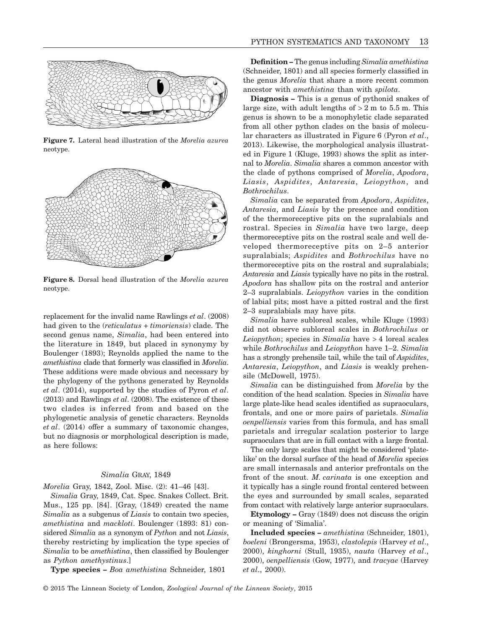

**Figure 7.** Lateral head illustration of the *Morelia azurea* neotype.



**Figure 8.** Dorsal head illustration of the *Morelia azurea* neotype.

replacement for the invalid name Rawlings *et al*. (2008) had given to the (*reticulatus* + *timoriensis*) clade. The second genus name, *Simalia*, had been entered into the literature in 1849, but placed in synonymy by Boulenger (1893); Reynolds applied the name to the *amethistina* clade that formerly was classified in *Morelia*. These additions were made obvious and necessary by the phylogeny of the pythons generated by Reynolds *et al*. (2014), supported by the studies of Pyron *et al*. (2013) and Rawlings *et al*. (2008). The existence of these two clades is inferred from and based on the phylogenetic analysis of genetic characters. Reynolds *et al*. (2014) offer a summary of taxonomic changes, but no diagnosis or morphological description is made, as here follows:

## *Simalia* GRAY, 1849

*Morelia* Gray, 1842, Zool. Misc. (2): 41–46 [43].

*Simalia* Gray, 1849, Cat. Spec. Snakes Collect. Brit. Mus., 125 pp. [84]. [Gray, (1849) created the name *Simalia* as a subgenus of *Liasis* to contain two species, *amethistina* and *mackloti*. Boulenger (1893: 81) considered *Simalia* as a synonym of *Python* and not *Liasis*, thereby restricting by implication the type species of *Simalia* to be *amethistina*, then classified by Boulenger as *Python amethystinus*.]

**Type species –** *Boa amethistina* Schneider, 1801

**Definition –** The genus including *Simalia amethistina* (Schneider, 1801) and all species formerly classified in the genus *Morelia* that share a more recent common ancestor with *amethistina* than with *spilota*.

**Diagnosis –** This is a genus of pythonid snakes of large size, with adult lengths of  $> 2$  m to 5.5 m. This genus is shown to be a monophyletic clade separated from all other python clades on the basis of molecular characters as illustrated in Figure 6 (Pyron *et al*., 2013). Likewise, the morphological analysis illustrated in Figure 1 (Kluge, 1993) shows the split as internal to *Morelia*. *Simalia* shares a common ancestor with the clade of pythons comprised of *Morelia*, *Apodora*, *Liasis*, *Aspidites*, *Antaresia*, *Leiopython*, and *Bothrochilus*.

*Simalia* can be separated from *Apodora*, *Aspidites*, *Antaresia*, and *Liasis* by the presence and condition of the thermoreceptive pits on the supralabials and rostral. Species in *Simalia* have two large, deep thermoreceptive pits on the rostral scale and well developed thermoreceptive pits on 2–5 anterior supralabials; *Aspidites* and *Bothrochilus* have no thermoreceptive pits on the rostral and supralabials; *Antaresia* and *Liasis* typically have no pits in the rostral. *Apodora* has shallow pits on the rostral and anterior 2–3 supralabials. *Leiopython* varies in the condition of labial pits; most have a pitted rostral and the first 2–3 supralabials may have pits.

*Simalia* have subloreal scales, while Kluge (1993) did not observe subloreal scales in *Bothrochilus* or *Leiopython*; species in *Simalia* have > 4 loreal scales while *Bothrochilus* and *Leiopython* have 1–2. *Simalia* has a strongly prehensile tail, while the tail of *Aspidites*, *Antaresia*, *Leiopython*, and *Liasis* is weakly prehensile (McDowell, 1975).

*Simalia* can be distinguished from *Morelia* by the condition of the head scalation. Species in *Simalia* have large plate-like head scales identified as supraoculars, frontals, and one or more pairs of parietals. *Simalia oenpelliensis* varies from this formula, and has small parietals and irregular scalation posterior to large supraoculars that are in full contact with a large frontal.

The only large scales that might be considered 'platelike' on the dorsal surface of the head of *Morelia* species are small internasals and anterior prefrontals on the front of the snout. *M. carinata* is one exception and it typically has a single round frontal centered between the eyes and surrounded by small scales, separated from contact with relatively large anterior supraoculars.

**Etymology –** Gray (1849) does not discuss the origin or meaning of 'Simalia'.

**Included species –** *amethistina* (Schneider, 1801), *boeleni* (Brongersma, 1953), *clastolepis* (Harvey *et al*., 2000), *kinghorni* (Stull, 1935), *nauta* (Harvey *et al*., 2000), *oenpelliensis* (Gow, 1977), and *tracyae* (Harvey *et al*., 2000).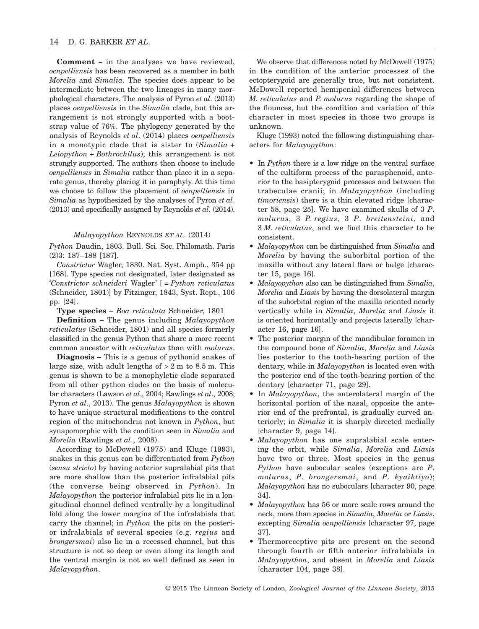**Comment –** in the analyses we have reviewed, *oenpelliensis* has been recovered as a member in both *Morelia* and *Simalia*. The species does appear to be intermediate between the two lineages in many morphological characters. The analysis of Pyron *et al*. (2013) places *oenpelliensis* in the *Simalia* clade, but this arrangement is not strongly supported with a bootstrap value of 76%. The phylogeny generated by the analysis of Reynolds *et al*. (2014) places *oenpelliensis* in a monotypic clade that is sister to (*Simalia* + *Leiopython* + *Bothrochilus*); this arrangement is not strongly supported. The authors then choose to include *oenpelliensis* in *Simalia* rather than place it in a separate genus, thereby placing it in paraphyly. At this time we choose to follow the placement of *oenpelliensis* in *Simalia* as hypothesized by the analyses of Pyron *et al*. (2013) and specifically assigned by Reynolds *et al*. (2014).

## *Malayopython* REYNOLDS *ET AL*. (2014)

*Python* Daudin, 1803. Bull. Sci. Soc. Philomath. Paris (2)3: 187–188 [187].

*Constrictor* Wagler, 1830. Nat. Syst. Amph., 354 pp [168]. Type species not designated, later designated as '*Constrictor schneideri* Wagler' [ = *Python reticulatus* (Schneider, 1801)] by Fitzinger, 1843, Syst. Rept., 106 pp. [24].

**Type species** – *Boa reticulata* Schneider, 1801

**Definition –** The genus including *Malayopython reticulatus* (Schneider, 1801) and all species formerly classified in the genus Python that share a more recent common ancestor with *reticulatus* than with *molurus*.

**Diagnosis –** This is a genus of pythonid snakes of large size, with adult lengths of  $> 2$  m to 8.5 m. This genus is shown to be a monophyletic clade separated from all other python clades on the basis of molecular characters (Lawson *et al*., 2004; Rawlings *et al*., 2008; Pyron *et al*., 2013). The genus *Malayopython* is shown to have unique structural modifications to the control region of the mitochondria not known in *Python*, but synapomorphic with the condition seen in *Simalia* and *Morelia* (Rawlings *et al*., 2008).

According to McDowell (1975) and Kluge (1993), snakes in this genus can be differentiated from *Python* (*sensu stricto*) by having anterior supralabial pits that are more shallow than the posterior infralabial pits (the converse being observed in *Python*). In *Malayopython* the posterior infralabial pits lie in a longitudinal channel defined ventrally by a longitudinal fold along the lower margins of the infralabials that carry the channel; in *Python* the pits on the posterior infralabials of several species (e.g. *regius* and *brongersmai*) also lie in a recessed channel, but this structure is not so deep or even along its length and the ventral margin is not so well defined as seen in *Malayopython*.

We observe that differences noted by McDowell (1975) in the condition of the anterior processes of the ectopterygoid are generally true, but not consistent. McDowell reported hemipenial differences between *M. reticulatus* and *P. molurus* regarding the shape of the flounces, but the condition and variation of this character in most species in those two groups is unknown.

Kluge (1993) noted the following distinguishing characters for *Malayopython*:

- In *Python* there is a low ridge on the ventral surface of the cultiform process of the parasphenoid, anterior to the basipterygoid processes and between the trabeculae cranii; in *Malayopython* (including *timoriensis*) there is a thin elevated ridge [character 58, page 25]. We have examined skulls of 3 *P*. *molurus*, 3 *P. regius*, 3 *P*. *breitensteini*, and 3 *M. reticulatus*, and we find this character to be consistent.
- *Malayopython* can be distinguished from *Simalia* and *Morelia* by having the suborbital portion of the maxilla without any lateral flare or bulge [character 15, page 16].
- *Malayopython* also can be distinguished from *Simalia*, *Morelia* and *Liasis* by having the dorsolateral margin of the suborbital region of the maxilla oriented nearly vertically while in *Simalia*, *Morelia* and *Liasis* it is oriented horizontally and projects laterally [character 16, page 16].
- The posterior margin of the mandibular foramen in the compound bone of *Simalia*, *Morelia* and *Liasis* lies posterior to the tooth-bearing portion of the dentary, while in *Malayopython* is located even with the posterior end of the tooth-bearing portion of the dentary [character 71, page 29].
- In *Malayopython*, the anterolateral margin of the horizontal portion of the nasal, opposite the anterior end of the prefrontal, is gradually curved anteriorly; in *Simalia* it is sharply directed medially [character 9, page 14].
- *Malayopython* has one supralabial scale entering the orbit, while *Simalia*, *Morelia* and *Liasis* have two or three. Most species in the genus *Python* have subocular scales (exceptions are *P*. *molurus*, *P*. *brongersmai*, and *P*. *kyaiktiyo*); *Malayopython* has no suboculars [character 90, page 34].
- *Malayopython* has 56 or more scale rows around the neck, more than species in *Simalia*, *Morelia* or *Liasis*, excepting *Simalia oenpelliensis* [character 97, page 37].
- Thermoreceptive pits are present on the second through fourth or fifth anterior infralabials in *Malayopython*, and absent in *Morelia* and *Liasis* [character 104, page 38].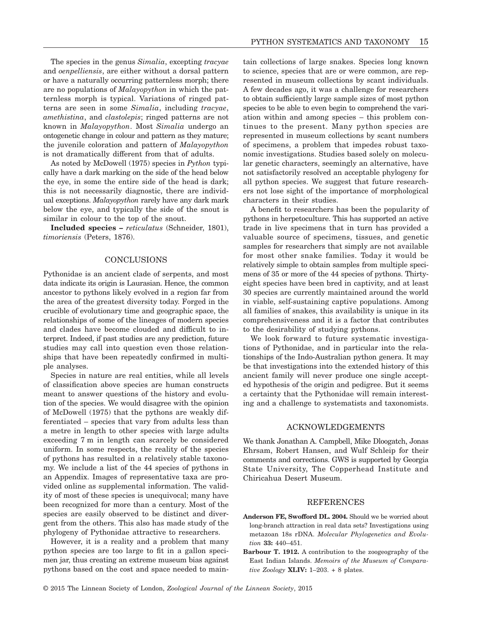The species in the genus *Simalia*, excepting *tracyae* and *oenpelliensis*, are either without a dorsal pattern or have a naturally occurring patternless morph; there are no populations of *Malayopython* in which the patternless morph is typical. Variations of ringed patterns are seen in some *Simalia*, including *tracyae*, *amethistina*, and *clastolepis*; ringed patterns are not known in *Malayopython*. Most *Simalia* undergo an ontogenetic change in colour and pattern as they mature; the juvenile coloration and pattern of *Malayopython* is not dramatically different from that of adults.

As noted by McDowell (1975) species in *Python* typically have a dark marking on the side of the head below the eye, in some the entire side of the head is dark; this is not necessarily diagnostic, there are individual exceptions. *Malayopython* rarely have any dark mark below the eye, and typically the side of the snout is similar in colour to the top of the snout.

**Included species –** *reticulatus* (Schneider, 1801), *timoriensis* (Peters, 1876).

## **CONCLUSIONS**

Pythonidae is an ancient clade of serpents, and most data indicate its origin is Laurasian. Hence, the common ancestor to pythons likely evolved in a region far from the area of the greatest diversity today. Forged in the crucible of evolutionary time and geographic space, the relationships of some of the lineages of modern species and clades have become clouded and difficult to interpret. Indeed, if past studies are any prediction, future studies may call into question even those relationships that have been repeatedly confirmed in multiple analyses.

Species in nature are real entities, while all levels of classification above species are human constructs meant to answer questions of the history and evolution of the species. We would disagree with the opinion of McDowell (1975) that the pythons are weakly differentiated – species that vary from adults less than a metre in length to other species with large adults exceeding 7 m in length can scarcely be considered uniform. In some respects, the reality of the species of pythons has resulted in a relatively stable taxonomy. We include a list of the 44 species of pythons in an Appendix. Images of representative taxa are provided online as supplemental information. The validity of most of these species is unequivocal; many have been recognized for more than a century. Most of the species are easily observed to be distinct and divergent from the others. This also has made study of the phylogeny of Pythonidae attractive to researchers.

However, it is a reality and a problem that many python species are too large to fit in a gallon specimen jar, thus creating an extreme museum bias against pythons based on the cost and space needed to maintain collections of large snakes. Species long known to science, species that are or were common, are represented in museum collections by scant individuals. A few decades ago, it was a challenge for researchers to obtain sufficiently large sample sizes of most python species to be able to even begin to comprehend the variation within and among species – this problem continues to the present. Many python species are represented in museum collections by scant numbers of specimens, a problem that impedes robust taxonomic investigations. Studies based solely on molecular genetic characters, seemingly an alternative, have not satisfactorily resolved an acceptable phylogeny for all python species. We suggest that future researchers not lose sight of the importance of morphological characters in their studies.

A benefit to researchers has been the popularity of pythons in herpetoculture. This has supported an active trade in live specimens that in turn has provided a valuable source of specimens, tissues, and genetic samples for researchers that simply are not available for most other snake families. Today it would be relatively simple to obtain samples from multiple specimens of 35 or more of the 44 species of pythons. Thirtyeight species have been bred in captivity, and at least 30 species are currently maintained around the world in viable, self-sustaining captive populations. Among all families of snakes, this availability is unique in its comprehensiveness and it is a factor that contributes to the desirability of studying pythons.

We look forward to future systematic investigations of Pythonidae, and in particular into the relationships of the Indo-Australian python genera. It may be that investigations into the extended history of this ancient family will never produce one single accepted hypothesis of the origin and pedigree. But it seems a certainty that the Pythonidae will remain interesting and a challenge to systematists and taxonomists.

#### ACKNOWLEDGEMENTS

We thank Jonathan A. Campbell, Mike Dloogatch, Jonas Ehrsam, Robert Hansen, and Wulf Schleip for their comments and corrections. GWS is supported by Georgia State University, The Copperhead Institute and Chiricahua Desert Museum.

#### REFERENCES

- **Anderson FE, Swofford DL. 2004.** Should we be worried about long-branch attraction in real data sets? Investigations using metazoan 18s rDNA. *Molecular Phylogenetics and Evolution* **33:** 440–451.
- **Barbour T. 1912.** A contribution to the zoogeography of the East Indian Islands. *Memoirs of the Museum of Comparative Zoology* **XLIV:** 1–203. + 8 plates.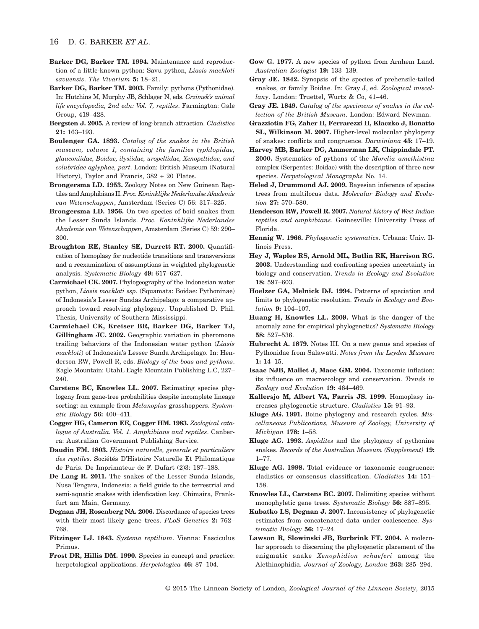- **Barker DG, Barker TM. 1994.** Maintenance and reproduction of a little-known python: Savu python, *Liasis mackloti savuensis*. *The Vivarium* **5:** 18–21.
- **Barker DG, Barker TM. 2003.** Family: pythons (Pythonidae). In: Hutchins M, Murphy JB, Schlager N, eds. *Grzimek's animal life encyclopedia, 2nd edn: Vol. 7, reptiles*. Farmington: Gale Group, 419–428.
- **Bergsten J. 2005.** A review of long-branch attraction. *Cladistics* **21:** 163–193.
- **Boulenger GA. 1893.** *Catalog of the snakes in the British museum, volume 1, containing the families typhlopidae, glauconiidae, Boidae, ilysiidae, uropeltidae, Xenopeltidae, and colubridae aglyphae, part*. London: British Museum (Natural History), Taylor and Francis, 382 + 20 Plates.
- **Brongersma LD. 1953.** Zoology Notes on New Guinean Reptiles andAmphibians II.*Proc. Koninklijke Nederlandse Akademie van Wetenschappen*, Amsterdam (Series C) 56: 317–325.
- **Brongersma LD. 1956.** On two species of boid snakes from the Lesser Sunda Islands. *Proc. Koninklijke Nederlandse Akademie van Wetenschappen*, Amsterdam (Series C) 59: 290– 300.
- **Broughton RE, Stanley SE, Durrett RT. 2000.** Quantification of homoplasy for nucleotide transitions and transversions and a reexamination of assumptions in weighted phylogenetic analysis. *Systematic Biology* **49:** 617–627.
- **Carmichael CK. 2007.** Phylogeography of the Indonesian water python, *Liasis mackloti ssp.* (Squamata: Boidae: Pythoninae) of Indonesia's Lesser Sundas Archipelago: a comparative approach toward resolving phylogeny. Unpublished D. Phil. Thesis, University of Southern Mississippi.
- **Carmichael CK, Kreiser BR, Barker DG, Barker TJ, Gillingham JC. 2002.** Geographic variation in pheromone trailing behaviors of the Indonesian water python (*Liasis mackloti*) of Indonesia's Lesser Sunda Archipelago. In: Henderson RW, Powell R, eds. *Biology of the boas and pythons*. Eagle Mountain: UtahL Eagle Mountain Publishing L.C, 227– 240.
- **Carstens BC, Knowles LL. 2007.** Estimating species phylogeny from gene-tree probabilities despite incomplete lineage sorting: an example from *Melanoplus* grasshoppers. *Systematic Biology* **56:** 400–411.
- **Cogger HG, Cameron EE, Cogger HM. 1983.** *Zoological catalogue of Australia. Vol. 1. Amphibians and reptiles*. Canberra: Australian Government Publishing Service.
- **Daudin FM. 1803.** *Histoire naturelle, generale et particuliere des reptiles*. Sociétés D'Histoire Naturelle Et Philomatique de Paris. De Imprimateur de F. Dufart (2)3: 187–188.
- **De Lang R. 2011.** The snakes of the Lesser Sunda Islands, Nusa Tengara, Indonesia: a field guide to the terrestrial and semi-aquatic snakes with idenfication key. Chimaira, Frankfurt am Main, Germany.
- **Degnan JH, Rosenberg NA. 2006.** Discordance of species trees with their most likely gene trees. *PLoS Genetics* **2:** 762– 768.
- **Fitzinger LJ. 1843.** *Systema reptilium*. Vienna: Fasciculus Primus.
- **Frost DR, Hillis DM. 1990.** Species in concept and practice: herpetological applications. *Herpetologica* **46:** 87–104.
- **Gow G. 1977.** A new species of python from Arnhem Land. *Australian Zoologist* **19:** 133–139.
- **Gray JE. 1842.** Synopsis of the species of prehensile-tailed snakes, or family Boidae. In: Gray J, ed. *Zoological miscellany*. London: Truettel, Wurtz & Co, 41–46.
- **Gray JE. 1849.** *Catalog of the specimens of snakes in the collection of the British Museum*. London: Edward Newman.
- **Grazziotin FG, Zaher H, Ferrarezzi H, Klaczko J, Bonatto SL, Wilkinson M. 2007.** Higher-level molecular phylogeny of snakes: conflicts and congruence. *Darwiniana* **45:** 17–19.
- **Harvey MB, Barker DG, Ammerman LK, Chippindale PT. 2000.** Systematics of pythons of the *Morelia amethistina* complex (Serpentes: Boidae) with the description of three new species. *Herpetological Monographs* No. 14.
- **Heled J, Drummond AJ. 2009.** Bayesian inference of species trees from multilocus data. *Molecular Biology and Evolution* **27:** 570–580.
- **Henderson RW, Powell R. 2007.** *Natural history of West Indian reptiles and amphibians*. Gainesville: University Press of Florida.
- **Hennig W. 1966.** *Phylogenetic systematics*. Urbana: Univ. Illinois Press.
- **Hey J, Waples RS, Arnold ML, Butlin RK, Harrison RG. 2003.** Understanding and confronting species uncertainty in biology and conservation. *Trends in Ecology and Evolution* **18:** 597–603.
- **Hoelzer GA, Melnick DJ. 1994.** Patterns of speciation and limits to phylogenetic resolution. *Trends in Ecology and Evolution* **9:** 104–107.
- **Huang H, Knowles LL. 2009.** What is the danger of the anomaly zone for empirical phylogenetics? *Systematic Biology* **58:** 527–536.
- **Hubrecht A. 1879.** Notes III. On a new genus and species of Pythonidae from Salawatti. *Notes from the Leyden Museum* **1:** 14–15.
- **Isaac NJB, Mallet J, Mace GM. 2004.** Taxonomic inflation: its influence on macroecology and conservation. *Trends in Ecology and Evolution* **19:** 464–469.
- **Kallersjo M, Albert VA, Farris JS. 1999.** Homoplasy increases phylogenetic structure. *Cladistics* **15:** 91–93.
- **Kluge AG. 1991.** Boine phylogeny and research cycles. *Miscellaneous Publications, Museum of Zoology, University of Michigan* **178:** 1–58.
- **Kluge AG. 1993.** *Aspidites* and the phylogeny of pythonine snakes. *Records of the Australian Museum (Supplement)* **19:** 1–77.
- **Kluge AG. 1998.** Total evidence or taxonomic congruence: cladistics or consensus classification. *Cladistics* **14:** 151– 158.
- **Knowles LL, Carstens BC. 2007.** Delimiting species without monophyletic gene trees. *Systematic Biology* **56:** 887–895.
- **Kubatko LS, Degnan J. 2007.** Inconsistency of phylogenetic estimates from concatenated data under coalescence. *Systematic Biology* **56:** 17–24.
- **Lawson R, Slowinski JB, Burbrink FT. 2004.** A molecular approach to discerning the phylogenetic placement of the enigmatic snake *Xenophidion schaeferi* among the Alethinophidia. *Journal of Zoology, London* **263:** 285–294.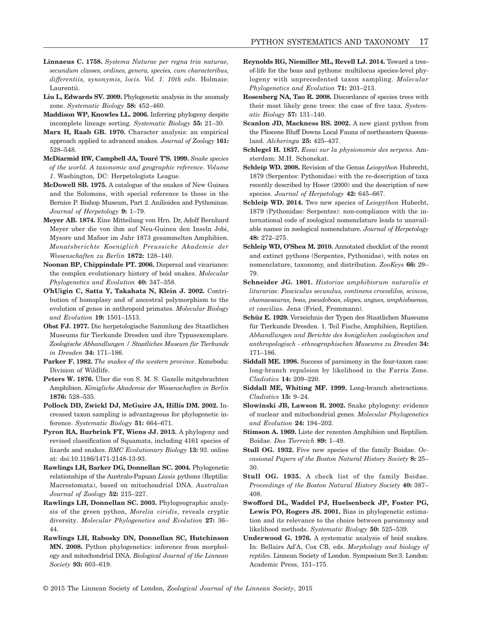- **Linnaeus C. 1758.** *Systema Naturae per regna tria naturae, secundum classes, ordines, genera, species, cum characteribus, differentiis, synonymis, locis. Vol. 1. 10th edn*. Holmaie: Laurentii.
- **Liu L, Edwards SV. 2009.** Phylogenetic analysis in the anomaly zone. *Systematic Biology* **58:** 452–460.
- **Maddison WP, Knowles LL. 2006.** Inferring phylogeny despite incomplete lineage sorting. *Systematic Biology* **55:** 21–30.
- **Marx H, Raab GB. 1970.** Character analysis: an empirical approach applied to advanced snakes. *Journal of Zoology* **161:** 528–548.
- **McDiarmid RW, Campbell JA, Touré T'S. 1999.** *Snake species of the world. A taxonomic and geographic reference. Volume 1*. Washington, DC: Herpetologists League.
- **McDowell SB. 1975.** A catalogue of the snakes of New Guinea and the Solomons, with special reference to those in the Bernice P. Bishop Museum, Part 2. Anilioidea and Pythoninae. *Journal of Herpetology* **9:** 1–79.
- **Meyer AB. 1874.** Eine Mitteilung von Hrn. Dr, Adolf Bernhard Meyer uber die von ihm auf Neu-Guinea den Inseln Jobi, Mysore und Mafoor im Jahr 1873 gesammelten Amphibien. *Monatsberichte Koeniglich Preussiche Akademie der Wissenschaften zu Berlin* **1872:** 128–140.
- **Noonan BP, Chippindale PT. 2006.** Dispersal and vicariance: the complex evolutionary history of boid snakes. *Molecular Phylogenetics and Evolution* **40:** 347–358.
- **O'hUigin C, Satta Y, Takahata N, Klein J. 2002.** Contribution of homoplasy and of ancestral polymorphism to the evolution of genes in anthropoid primates. *Molecular Biology and Evolution* **19:** 1501–1513.
- **Obst FJ. 1977.** Die herpetologische Sammlung des Staatlichen Museums für Tierkunde Dresden und ihre Typusexemplare. *Zoologische Abhandlungen / Staatliches Museum für Tierkunde in Dresden* **34:** 171–186.
- **Parker F. 1982.** *The snakes of the western province*. Konebodu: Division of Wildlife.
- **Peters W. 1876.** Über die von S. M. S. Gazelle mitgebrachten Amphibien. *Königliche Akademie der Wissenschaften in Berlin* **1876:** 528–535.
- **Pollock DD, Zwickl DJ, McGuire JA, Hillis DM. 2002.** Increased taxon sampling is advantageous for phylogenetic inference. *Systematic Biology* **51:** 664–671.
- **Pyron RA, Burbrink FT, Wiens JJ. 2013.** A phylogeny and revised classification of Squamata, including 4161 species of lizards and snakes. *BMC Evolutionary Biology* **13:** 93. online at: doi:10.1186/1471-2148-13-93.
- **Rawlings LH, Barker DG, Donnellan SC. 2004.** Phylogenetic relationships of the Australo-Papuan *Liasis* pythons (Reptilia: Macrostomata), based on mitochondrial DNA. *Australian Journal of Zoology* **52:** 215–227.
- **Rawlings LH, Donnellan SC. 2003.** Phylogeographic analysis of the green python, *Morelia viridis*, reveals cryptic diversity. *Molecular Phylogenetics and Evolution* **27:** 36– 44.
- **Rawlings LH, Rabosky DN, Donnellan SC, Hutchinson MN. 2008.** Python phylogenetics: inference from morphology and mitochondrial DNA. *Biological Journal of the Linnean Society* **93:** 603–619.
- **Reynolds RG, Niemiller ML, Revell LJ. 2014.** Toward a treeof-life for the boas and pythons: multilocus species-level phylogeny with unprecedented taxon sampling. *Molecular Phylogenetics and Evolution* **71:** 201–213.
- **Rosenberg NA, Tao R. 2008.** Discordance of species trees with their most likely gene trees: the case of five taxa. *Systematic Biology* **57:** 131–140.
- **Scanlon JD, Mackness BS. 2002.** A new giant python from the Pliocene Bluff Downs Local Fauna of northeastern Queensland. *Alcheringa* **25:** 425–437.
- **Schlegel H. 1837.** *Essai sur la physionomie des serpens*. Amsterdam: M.H. Schonekat.
- **Schleip WD. 2008.** Revision of the Genus *Leiopython* Hubrecht, 1879 (Serpentes: Pythonidae) with the re-description of taxa recently described by Hoser (2000) and the description of new species. *Journal of Herpetology* **42:** 645–667.
- **Schleip WD. 2014.** Two new species of *Leiopython* Hubecht, 1879 (Pythonidae: Serpentes): non-compliance with the international code of zoological nomenclature leads to unavailable names in zoological nomenclature. *Journal of Herpetology* **48:** 272–275.
- **Schleip WD, O'Shea M. 2010.** Annotated checklist of the recent and extinct pythons (Serpentes, Pythonidae), with notes on nomenclature, taxonomy, and distribution. *ZooKeys* **66:** 29– 79.
- **Schneider JG. 1801.** *Historiae amphibiorum naturalis et liturariae. Fasciculus secundus, continens crocodilos, scincos, chamaesauras, boas, pseudoboas, elapes, angues, amphisbaenas, et caecilias*. Jena (Fried, Frommann).
- **Schüz E. 1929.** Verzeichnis der Typen des Staatlichen Museums für Tierkunde Dresden. 1. Teil Fische, Amphibien, Reptilien. *Abhandlungen and Berichte des koniglichen zoologischen and anthropologisch - ethnographischen Museums zu Dresden* **34:** 171–186.
- **Siddall ME. 1998.** Success of parsimony in the four-taxon case: long-branch repulsion by likelihood in the Farris Zone. *Cladistics* **14:** 209–220.
- **Siddall ME, Whiting MF. 1999.** Long-branch abstractions. *Cladistics* **15:** 9–24.
- **Slowinski JB, Lawson R. 2002.** Snake phylogeny: evidence of nuclear and mitochondrial genes. *Molecular Phylogenetics and Evolution* **24:** 194–202.
- **Stimson A. 1969.** Liste der rezenten Amphibien und Reptilien. Boidae. *Das Tierreich* **89:** 1–49.
- **Stull OG. 1932.** Five new species of the family Boidae. *Occasional Papers of the Boston Natural History Society* **8:** 25– 30.
- **Stull OG. 1935.** A check list of the family Boidae. *Proceedings of the Boston Natural History Society* **40:** 387– 408.
- **Swofford DL, Waddel PJ, Huelsenbeck JP, Foster PG, Lewis PO, Rogers JS. 2001.** Bias in phylogenetic estimation and its relevance to the choice between parsimony and likelihood methods. *Systematic Biology* **50:** 525–539.
- **Underwood G. 1976.** A systematic analysis of boid snakes. In: Bellairs Ad'A, Cox CB, eds. *Morphology and biology of reptiles*. Linnean Society of London. Symposium Ser.3. London: Academic Press, 151–175.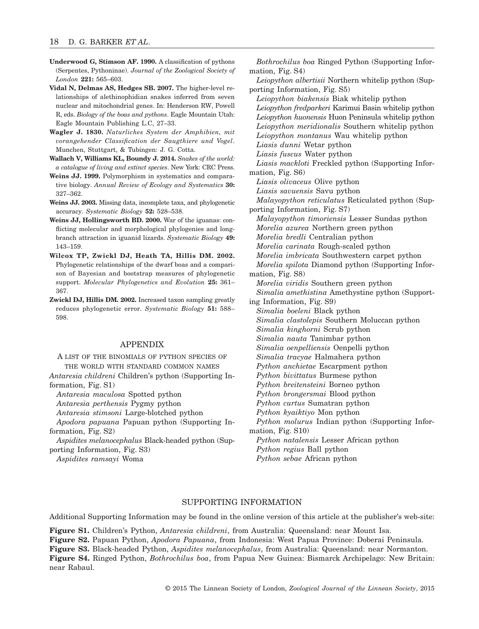**Underwood G, Stimson AF. 1990.** A classification of pythons (Serpentes, Pythoninae). *Journal of the Zoological Society of London* **221:** 565–603.

**Vidal N, Delmas AS, Hedges SB. 2007.** The higher-level relationships of alethinophidian snakes inferred from seven nuclear and mitochondrial genes. In: Henderson RW, Powell R, eds. *Biology of the boas and pythons*. Eagle Mountain Utah: Eagle Mountain Publishing L.C, 27–33.

**Wagler J. 1830.** *Naturliches System der Amphibien, mit vorangehender Classification der Saugthiere und Vogel*. Munchen, Stuttgart, & Tubingen: J. G. Cotta.

**Wallach V, Williams KL, Boundy J. 2014.** *Snakes of the world: a catalogue of living and extinct species*. New York: CRC Press.

**Weins JJ. 1999.** Polymorphism in systematics and comparative biology. *Annual Review of Ecology and Systematics* **30:** 327–362.

**Weins JJ. 2003.** Missing data, incomplete taxa, and phylogenetic accuracy. *Systematic Biology* **52:** 528–538.

**Weins JJ, Hollingsworth BD. 2000.** War of the iguanas: conflicting molecular and morphological phylogenies and longbranch attraction in iguanid lizards. *Systematic Biology* **49:** 143–159.

**Wilcox TP, Zwickl DJ, Heath TA, Hillis DM. 2002.** Phylogenetic relationships of the dwarf boas and a comparison of Bayesian and bootstrap measures of phylogenetic support. *Molecular Phylogenetics and Evolution* **25:** 361– 367.

**Zwickl DJ, Hillis DM. 2002.** Increased taxon sampling greatly reduces phylogenetic error. *Systematic Biology* **51:** 588– 598.

# APPENDIX

A LIST OF THE BINOMIALS OF PYTHON SPECIES OF THE WORLD WITH STANDARD COMMON NAMES

*Antaresia childreni* Children's python (Supporting Information, Fig. S1)

*Antaresia maculosa* Spotted python

*Antaresia perthensis* Pygmy python

*Antaresia stimsoni* Large-blotched python

*Apodora papuana* Papuan python (Supporting Information, Fig. S2)

*Aspidites melanocephalus* Black-headed python (Supporting Information, Fig. S3)

*Aspidites ramsayi* Woma

*Bothrochilus boa* Ringed Python (Supporting Information, Fig. S4)

*Leiopython albertisii* Northern whitelip python (Supporting Information, Fig. S5)

*Leiopython biakensis* Biak whitelip python

*Leiopython fredparkeri* Karimui Basin whitelip python *Leiopython huonensis* Huon Peninsula whitelip python *Leiopython meridionalis* Southern whitelip python *Leiopython montanus* Wau whitelip python

*Liasis dunni* Wetar python

*Liasis fuscus* Water python

*Liasis mackloti* Freckled python (Supporting Information, Fig. S6)

*Liasis olivaceus* Olive python

*Liasis savuensis* Savu python

*Malayopython reticulatus* Reticulated python (Supporting Information, Fig. S7)

*Malayopython timoriensis* Lesser Sundas python

*Morelia azurea* Northern green python

*Morelia bredli* Centralian python

*Morelia carinata* Rough-scaled python

*Morelia imbricata* Southwestern carpet python

*Morelia spilota* Diamond python (Supporting Information, Fig. S8)

*Morelia viridis* Southern green python

*Simalia amethistina* Amethystine python (Supporting Information, Fig. S9)

*Simalia boeleni* Black python

*Simalia clastolepis* Southern Moluccan python

*Simalia kinghorni* Scrub python

*Simalia nauta* Tanimbar python

*Simalia oenpelliensis* Oenpelli python

*Simalia tracyae* Halmahera python

*Python anchietae* Escarpment python

*Python bivittatus* Burmese python

*Python breitensteini* Borneo python

*Python brongersmai* Blood python

*Python curtus* Sumatran python

*Python kyaiktiyo* Mon python

*Python molurus* Indian python (Supporting Information, Fig. S10)

*Python natalensis* Lesser African python *Python regius* Ball python *Python sebae* African python

# SUPPORTING INFORMATION

Additional Supporting Information may be found in the online version of this article at the publisher's web-site:

**Figure S1.** Children's Python, *Antaresia childreni*, from Australia: Queensland: near Mount Isa. **Figure S2.** Papuan Python, *Apodora Papuana*, from Indonesia: West Papua Province: Doberai Peninsula. **Figure S3.** Black-headed Python, *Aspidites melanocephalus*, from Australia: Queensland: near Normanton. **Figure S4.** Ringed Python, *Bothrochilus boa*, from Papua New Guinea: Bismarck Archipelago: New Britain: near Rabaul.